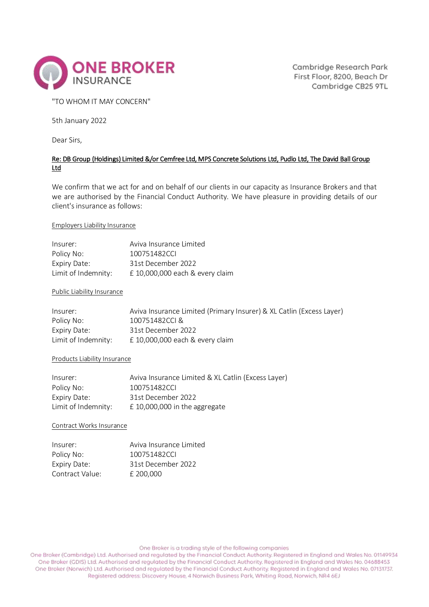

Cambridge Research Park First Floor, 8200, Beach Dr Cambridge CB25 9TL

## "TO WHOM IT MAY CONCERN"

5th January 2022

Dear Sirs,

# Re: DB Group (Holdings) Limited &/or Cemfree Ltd, MPS Concrete Solutions Ltd, Pudlo Ltd, The David Ball Group Ltd

We confirm that we act for and on behalf of our clients in our capacity as Insurance Brokers and that we are authorised by the Financial Conduct Authority. We have pleasure in providing details of our client's insurance as follows:

## Employers Liability Insurance

| Insurer:            | Aviva Insurance Limited         |
|---------------------|---------------------------------|
| Policy No:          | 100751482CCL                    |
| Expiry Date:        | 31st December 2022              |
| Limit of Indemnity: | £ 10,000,000 each & every claim |

### Public Liability Insurance

| Insurer:            | Aviva Insurance Limited (Primary Insurer) & XL Catlin (Excess Layer) |
|---------------------|----------------------------------------------------------------------|
| Policy No:          | 100751482CCL&                                                        |
| Expiry Date:        | 31st December 2022                                                   |
| Limit of Indemnity: | $£$ 10,000,000 each & every claim                                    |

#### Products Liability Insurance

| Insurer:            | Aviva Insurance Limited & XL Catlin (Excess Layer) |
|---------------------|----------------------------------------------------|
| Policy No:          | 100751482CCL                                       |
| Expiry Date:        | 31st December 2022                                 |
| Limit of Indemnity: | $E$ 10,000,000 in the aggregate                    |

Contract Works Insurance

| Insurer:        | Aviva Insurance Limited |
|-----------------|-------------------------|
| Policy No:      | 100751482CCL            |
| Expiry Date:    | 31st December 2022      |
| Contract Value: | £ 200,000               |

One Broker is a trading style of the following companies

One Broker (Cambridge) Ltd. Authorised and regulated by the Financial Conduct Authority. Registered in England and Wales No. 01149934 One Broker (GDIS) Ltd. Authorised and regulated by the Financial Conduct Authority. Registered in England and Wales No. 04688453 One Broker (Norwich) Ltd. Authorised and regulated by the Financial Conduct Authority. Registered in England and Wales No. 07131737. Registered address: Discovery House, 4 Norwich Business Park, Whiting Road, Norwich, NR4 6EJ